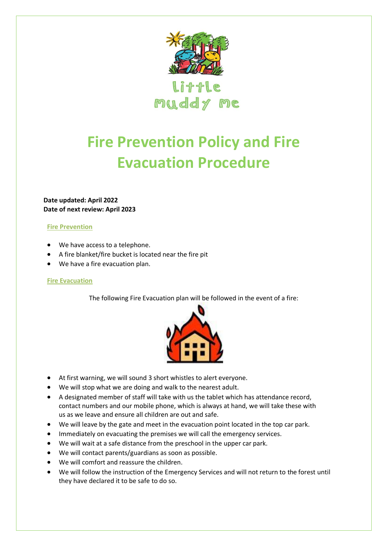

Little muddy me

## **Fire Prevention Policy and Fire Evacuation Procedure**

**Date updated: April 2022 Date of next review: April 2023**

## **Fire Prevention**

- We have access to a telephone.
- A fire blanket/fire bucket is located near the fire pit
- We have a fire evacuation plan.

## **Fire Evacuation**

The following Fire Evacuation plan will be followed in the event of a fire:



- At first warning, we will sound 3 short whistles to alert everyone.
- We will stop what we are doing and walk to the nearest adult.
- A designated member of staff will take with us the tablet which has attendance record, contact numbers and our mobile phone, which is always at hand, we will take these with us as we leave and ensure all children are out and safe.
- We will leave by the gate and meet in the evacuation point located in the top car park.
- Immediately on evacuating the premises we will call the emergency services.
- We will wait at a safe distance from the preschool in the upper car park.
- We will contact parents/guardians as soon as possible.
- We will comfort and reassure the children.
- We will follow the instruction of the Emergency Services and will not return to the forest until they have declared it to be safe to do so.